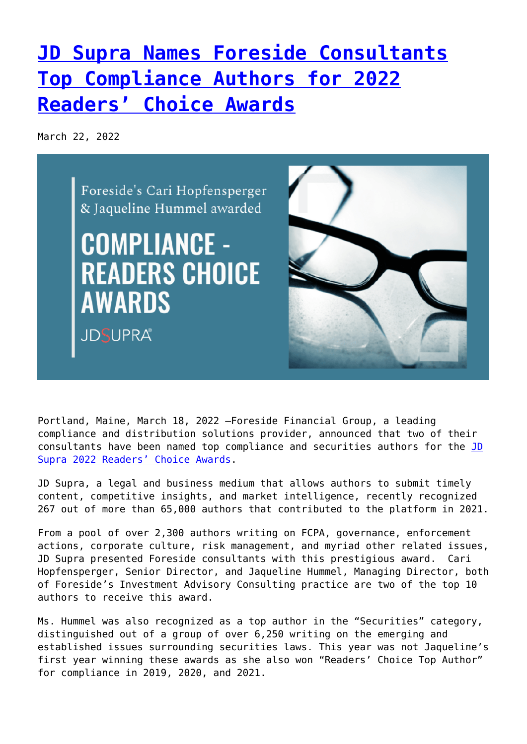## **[JD Supra Names Foreside Consultants](https://www.foreside.com/news/top-compliance-author-award/) [Top Compliance Authors for 2022](https://www.foreside.com/news/top-compliance-author-award/) [Readers' Choice Awards](https://www.foreside.com/news/top-compliance-author-award/)**

March 22, 2022



Portland, Maine, March 18, 2022 —Foreside Financial Group, a leading compliance and distribution solutions provider, announced that two of their consultants have been named top compliance and securities authors for the [JD](https://spotlight.jdsupra.com/readerschoice/2022) [Supra 2022 Readers' Choice Awards](https://spotlight.jdsupra.com/readerschoice/2022).

JD Supra, a legal and business medium that allows authors to submit timely content, competitive insights, and market intelligence, recently recognized 267 out of more than 65,000 authors that contributed to the platform in 2021.

From a pool of over 2,300 authors writing on FCPA, governance, enforcement actions, corporate culture, risk management, and myriad other related issues, JD Supra presented Foreside consultants with this prestigious award. Cari Hopfensperger, Senior Director, and Jaqueline Hummel, Managing Director, both of Foreside's Investment Advisory Consulting practice are two of the top 10 authors to receive this award.

Ms. Hummel was also recognized as a top author in the "Securities" category, distinguished out of a group of over 6,250 writing on the emerging and established issues surrounding securities laws. This year was not Jaqueline's first year winning these awards as she also won "Readers' Choice Top Author" for compliance in 2019, 2020, and 2021.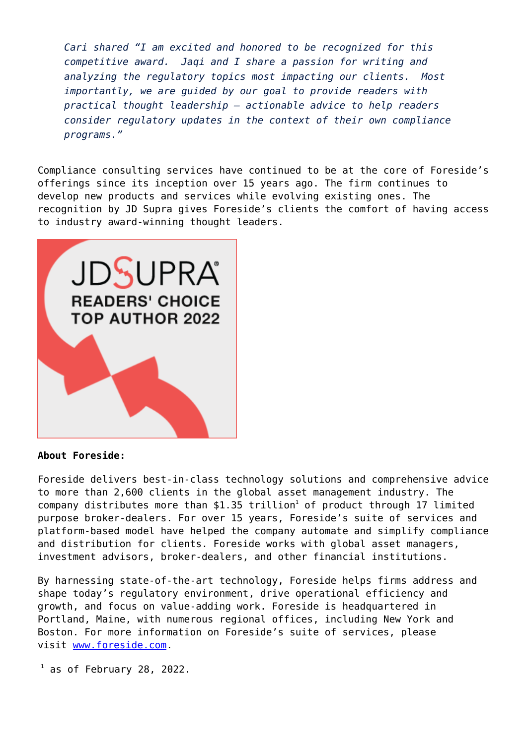*Cari shared "I am excited and honored to be recognized for this competitive award. Jaqi and I share a passion for writing and analyzing the regulatory topics most impacting our clients. Most importantly, we are guided by our goal to provide readers with practical thought leadership – actionable advice to help readers consider regulatory updates in the context of their own compliance programs."*

Compliance consulting services have continued to be at the core of Foreside's offerings since its inception over 15 years ago. The firm continues to develop new products and services while evolving existing ones. The recognition by JD Supra gives Foreside's clients the comfort of having access to industry award-winning thought leaders.



## **About Foreside:**

Foreside delivers best-in-class technology solutions and comprehensive advice to more than 2,600 clients in the global asset management industry. The  $company$  distributes more than \$1.35 trillion<sup>1</sup> of product through 17 limited purpose broker-dealers. For over 15 years, Foreside's suite of services and platform-based model have helped the company automate and simplify compliance and distribution for clients. Foreside works with global asset managers, investment advisors, broker-dealers, and other financial institutions.

By harnessing state-of-the-art technology, Foreside helps firms address and shape today's regulatory environment, drive operational efficiency and growth, and focus on value-adding work. Foreside is headquartered in Portland, Maine, with numerous regional offices, including New York and Boston. For more information on Foreside's suite of services, please visit [www.foreside.com](http://www.foreside.com/).

 $1$  as of February 28, 2022.